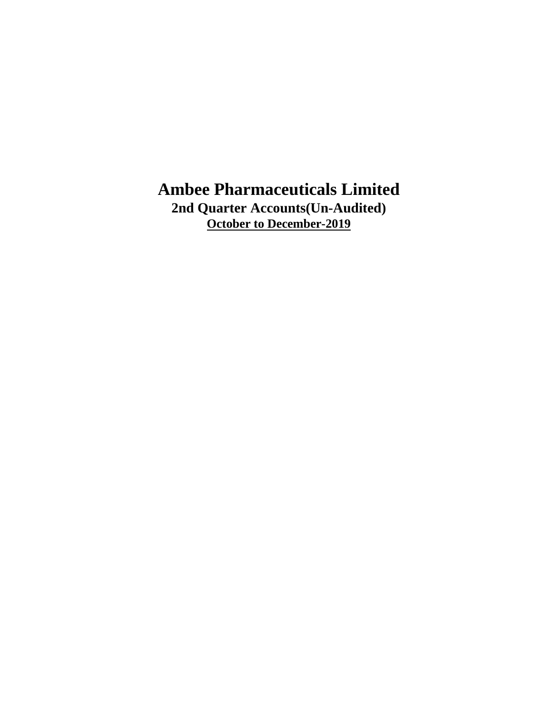**2nd Quarter Accounts(Un-Audited) October to December-2019**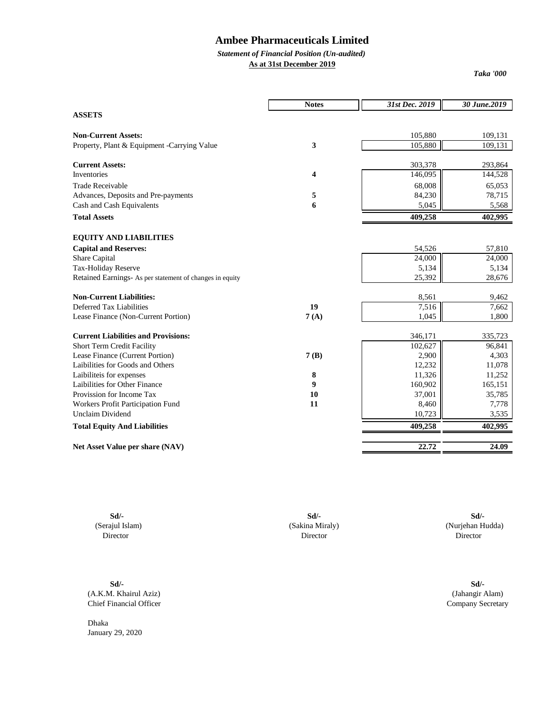## *Statement of Financial Position (Un-audited)*

**As at 31st December 2019**

*Taka '000*

|                                                          | <b>Notes</b>     | 31st Dec. 2019 | 30 June.2019 |
|----------------------------------------------------------|------------------|----------------|--------------|
| <b>ASSETS</b>                                            |                  |                |              |
| <b>Non-Current Assets:</b>                               |                  | 105,880        | 109,131      |
| Property, Plant & Equipment -Carrying Value              | 3                | 105,880        | 109,131      |
|                                                          |                  |                |              |
| <b>Current Assets:</b>                                   |                  | 303,378        | 293,864      |
| <b>Inventories</b>                                       | 4                | 146,095        | 144,528      |
| <b>Trade Receivable</b>                                  |                  | 68,008         | 65,053       |
| Advances, Deposits and Pre-payments                      | 5                | 84,230         | 78,715       |
| Cash and Cash Equivalents                                | 6                | 5,045          | 5,568        |
| <b>Total Assets</b>                                      |                  | 409,258        | 402,995      |
| <b>EQUITY AND LIABILITIES</b>                            |                  |                |              |
| <b>Capital and Reserves:</b>                             |                  | 54,526         | 57,810       |
| Share Capital                                            |                  | 24,000         | 24,000       |
| Tax-Holiday Reserve                                      |                  | 5,134          | 5,134        |
| Retained Earnings- As per statement of changes in equity |                  | 25,392         | 28,676       |
| <b>Non-Current Liabilities:</b>                          |                  | 8,561          | 9,462        |
| Deferred Tax Liabilities                                 | 19               | 7,516          | 7,662        |
| Lease Finance (Non-Current Portion)                      | 7(A)             | 1,045          | 1,800        |
| <b>Current Liabilities and Provisions:</b>               |                  | 346,171        | 335,723      |
| <b>Short Term Credit Facility</b>                        |                  | 102,627        | 96,841       |
| Lease Finance (Current Portion)                          | 7(B)             | 2,900          | 4,303        |
| Laibilities for Goods and Others                         |                  | 12,232         | 11,078       |
| Laibiliteis for expenses                                 | 8                | 11,326         | 11,252       |
| Laibilities for Other Finance                            | $\boldsymbol{9}$ | 160,902        | 165,151      |
| Provission for Income Tax                                | 10               | 37,001         | 35,785       |
| Workers Profit Participation Fund                        | 11               | 8,460          | 7,778        |
| <b>Unclaim Dividend</b>                                  |                  | 10,723         | 3,535        |
| <b>Total Equity And Liabilities</b>                      |                  | 409,258        | 402,995      |
| Net Asset Value per share (NAV)                          |                  | 22.72          | 24.09        |
|                                                          |                  |                |              |

**Sd/- Sd/- Sd/-**

(Serajul Islam) (Sakina Miraly) (Nurjehan Hudda) Director Director Director

**Sd/- Sd/-** (A.K.M. Khairul Aziz) (Jahangir Alam) Chief Financial Officer Company Secretary

Dhaka January 29, 2020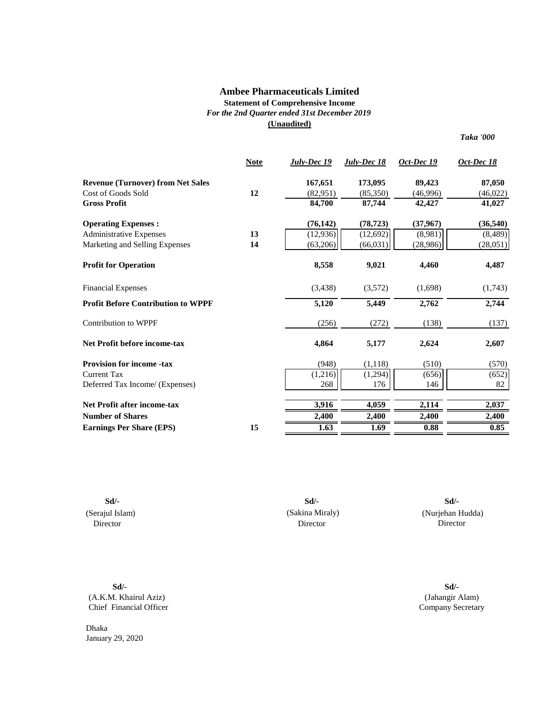## **Statement of Comprehensive Income** *For the 2nd Quarter ended 31st December 2019* **(Unaudited)**

*Taka '000*

|                                           | <b>Note</b> | July-Dec 19 | July-Dec 18 | Oct-Dec 19 | Oct-Dec 18 |
|-------------------------------------------|-------------|-------------|-------------|------------|------------|
| <b>Revenue (Turnover) from Net Sales</b>  |             | 167,651     | 173,095     | 89,423     | 87,050     |
| Cost of Goods Sold                        | 12          | (82,951)    | (85,350)    | (46,996)   | (46,022)   |
| <b>Gross Profit</b>                       |             | 84,700      | 87,744      | 42,427     | 41,027     |
| <b>Operating Expenses:</b>                |             | (76, 142)   | (78, 723)   | (37, 967)  | (36, 540)  |
| <b>Administrative Expenses</b>            | 13          | (12, 936)   | (12, 692)   | (8,981)    | (8, 489)   |
| Marketing and Selling Expenses            | 14          | (63,206)    | (66, 031)   | (28,986)   | (28,051)   |
| <b>Profit for Operation</b>               |             | 8,558       | 9,021       | 4,460      | 4,487      |
| <b>Financial Expenses</b>                 |             | (3, 438)    | (3,572)     | (1,698)    | (1,743)    |
| <b>Profit Before Contribution to WPPF</b> |             | 5,120       | 5,449       | 2,762      | 2,744      |
| <b>Contribution to WPPF</b>               |             | (256)       | (272)       | (138)      | (137)      |
| <b>Net Profit before income-tax</b>       |             | 4,864       | 5,177       | 2,624      | 2,607      |
| <b>Provision for income -tax</b>          |             | (948)       | (1,118)     | (510)      | (570)      |
| <b>Current Tax</b>                        |             | (1,216)     | (1,294)     | (656)      | (652)      |
| Deferred Tax Income/ (Expenses)           |             | 268         | 176         | 146        | 82         |
| <b>Net Profit after income-tax</b>        |             | 3,916       | 4,059       | 2,114      | 2,037      |
| <b>Number of Shares</b>                   |             | 2,400       | 2,400       | 2,400      | 2,400      |
| <b>Earnings Per Share (EPS)</b>           | 15          | 1.63        | 1.69        | 0.88       | 0.85       |

**Sd/- Sd/-** (Serajul Islam) Director

(Sakina Miraly) Director

 (Nurjehan Hudda) Director **Sd/-**

**Sd/-** (A.K.M. Khairul Aziz) Chief Financial Officer

Dhaka January 29, 2020

(Jahangir Alam) Company Secretary **Sd/-**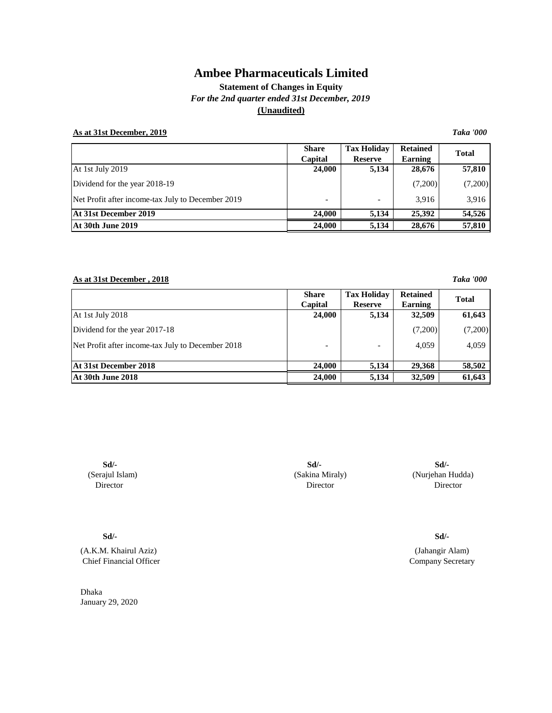**Statement of Changes in Equity** *For the 2nd quarter ended 31st December, 2019* **(Unaudited)**

## **As at 31st December, 2019** *Taka '000*

|                                                   | <b>Share</b><br>Capital  | <b>Tax Holiday</b><br><b>Reserve</b> | <b>Retained</b><br>Earning | <b>Total</b> |
|---------------------------------------------------|--------------------------|--------------------------------------|----------------------------|--------------|
| At 1st July 2019                                  | 24,000                   | 5,134                                | 28,676                     | 57,810       |
| Dividend for the year 2018-19                     |                          |                                      | (7,200)                    | (7,200)      |
| Net Profit after income-tax July to December 2019 | $\overline{\phantom{0}}$ |                                      | 3.916                      | 3.916        |
| At 31st December 2019                             | 24,000                   | 5,134                                | 25,392                     | 54,526       |
| <b>At 30th June 2019</b>                          | 24.000                   | 5,134                                | 28,676                     | 57,810       |

## **As at 31st December , 2018** *Taka '000*

|                                                   | <b>Share</b><br>Capital | <b>Tax Holiday</b><br><b>Reserve</b> | <b>Retained</b><br>Earning | <b>Total</b> |
|---------------------------------------------------|-------------------------|--------------------------------------|----------------------------|--------------|
| At 1st July 2018                                  | 24,000                  | 5,134                                | 32,509                     | 61,643       |
| Dividend for the year 2017-18                     |                         |                                      | (7,200)                    | (7,200)      |
| Net Profit after income-tax July to December 2018 |                         |                                      | 4.059                      | 4,059        |
| At 31st December 2018                             | 24,000                  | 5,134                                | 29,368                     | 58,502       |
| <b>At 30th June 2018</b>                          | 24,000                  | 5,134                                | 32,509                     | 61,643       |

**Sd/- Sd/-** (Serajul Islam) Director

**Sd/-**

(A.K.M. Khairul Aziz) Chief Financial Officer

Dhaka January 29, 2020

(Sakina Miraly) (Nurjehan Hudda) **Sd/-** Director Director

**Sd/-**

Company Secretary (Jahangir Alam)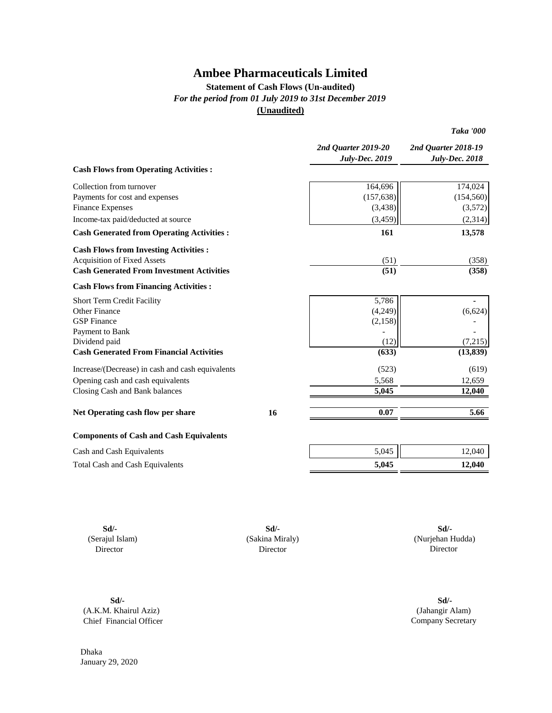## **Statement of Cash Flows (Un-audited)** *For the period from 01 July 2019 to 31st December 2019* **(Unaudited)**

*Taka '000*

|                                                  |    | 2nd Quarter 2019-20<br><b>July-Dec. 2019</b> | 2nd Quarter 2018-19<br><b>July-Dec. 2018</b> |
|--------------------------------------------------|----|----------------------------------------------|----------------------------------------------|
| <b>Cash Flows from Operating Activities:</b>     |    |                                              |                                              |
| Collection from turnover                         |    | 164,696                                      | 174,024                                      |
| Payments for cost and expenses                   |    | (157, 638)                                   | (154, 560)                                   |
| <b>Finance Expenses</b>                          |    | (3, 438)                                     | (3,572)                                      |
| Income-tax paid/deducted at source               |    | (3, 459)                                     | (2,314)                                      |
| <b>Cash Generated from Operating Activities:</b> |    | 161                                          | 13,578                                       |
| <b>Cash Flows from Investing Activities:</b>     |    |                                              |                                              |
| <b>Acquisition of Fixed Assets</b>               |    | (51)                                         | (358)                                        |
| <b>Cash Generated From Investment Activities</b> |    | (51)                                         | (358)                                        |
| <b>Cash Flows from Financing Activities:</b>     |    |                                              |                                              |
| Short Term Credit Facility                       |    | 5,786                                        |                                              |
| Other Finance                                    |    | (4,249)                                      | (6,624)                                      |
| <b>GSP</b> Finance                               |    | (2, 158)                                     |                                              |
| Payment to Bank                                  |    |                                              |                                              |
| Dividend paid                                    |    | (12)                                         | (7,215)                                      |
| <b>Cash Generated From Financial Activities</b>  |    | (633)                                        | (13, 839)                                    |
| Increase/(Decrease) in cash and cash equivalents |    | (523)                                        | (619)                                        |
| Opening cash and cash equivalents                |    | 5,568                                        | 12,659                                       |
| Closing Cash and Bank balances                   |    | 5,045                                        | 12,040                                       |
| Net Operating cash flow per share                | 16 | 0.07                                         | 5.66                                         |
| <b>Components of Cash and Cash Equivalents</b>   |    |                                              |                                              |
| Cash and Cash Equivalents                        |    | 5,045                                        | 12,040                                       |
| <b>Total Cash and Cash Equivalents</b>           |    | 5,045                                        | 12,040                                       |
|                                                  |    |                                              |                                              |

**Sd/- Sd/- Sd/-** (Serajul Islam) (Sakina Miraly) Director Director

 (Nurjehan Hudda) Director

**Sd/- Sd/-** (A.K.M. Khairul Aziz) Chief Financial Officer

(Jahangir Alam) Company Secretary

Dhaka January 29, 2020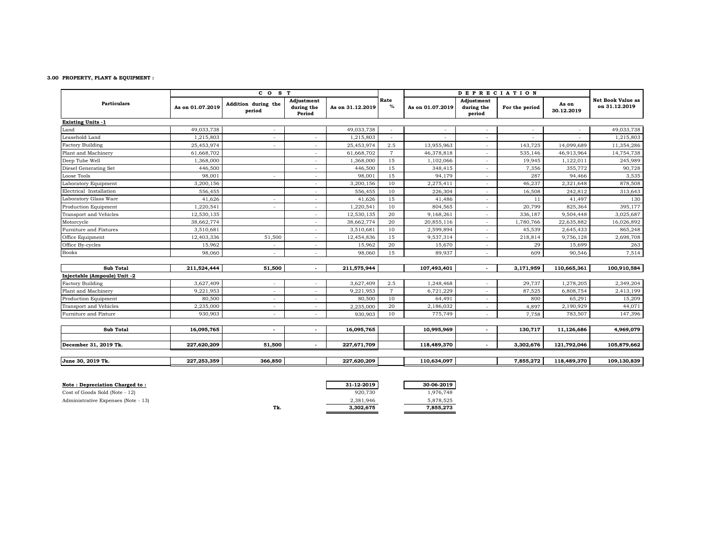#### **3.00 PROPERTY, PLANT & EQUIPMENT :**

|                              |                  | CO <sub>S</sub> T             |                                    |                  |                | <b>DEPRECIATION</b> |                                    |                |                     |                                    |
|------------------------------|------------------|-------------------------------|------------------------------------|------------------|----------------|---------------------|------------------------------------|----------------|---------------------|------------------------------------|
| <b>Particulars</b>           | As on 01.07.2019 | Addition during the<br>period | Adjustment<br>during the<br>Period | As on 31.12.2019 | Rate<br>$\%$   | As on 01.07.2019    | Adjustment<br>during the<br>period | For the period | As on<br>30.12.2019 | Net Book Value as<br>on 31.12.2019 |
| <b>Existing Units -1</b>     |                  |                               |                                    |                  |                |                     |                                    |                |                     |                                    |
| Land                         | 49,033,738       |                               |                                    | 49,033,738       |                |                     |                                    |                |                     | 49,033,738                         |
| Leasehold Land               | 1,215,803        | ٠                             |                                    | 1,215,803        | $\sim$         |                     | ٠                                  |                |                     | 1,215,803                          |
| <b>Factory Building</b>      | 25,453,974       |                               |                                    | 25,453,974       | 2.5            | 13,955,963          | ٠                                  | 143,725        | 14,099,689          | 11,354,286                         |
| Plant and Machinery          | 61,668,702       |                               |                                    | 61,668,702       | $\overline{7}$ | 46,378,818          | $\overline{\phantom{a}}$           | 535,146        | 46,913,964          | 14,754,738                         |
| Deep Tube Well               | 1,368,000        |                               |                                    | 1,368,000        | 15             | 1,102,066           | ٠                                  | 19,945         | 1,122,011           | 245,989                            |
| Diesel Generating Set        | 446,500          |                               |                                    | 446,500          | 15             | 348,415             |                                    | 7,356          | 355,772             | 90,728                             |
| Loose Tools                  | 98,001           |                               |                                    | 98,001           | 15             | 94,179              |                                    | 287            | 94,466              | 3,535                              |
| Laboratory Equipment         | 3,200,156        |                               |                                    | 3,200,156        | 10             | 2,275,411           | ٠                                  | 46,237         | 2,321,648           | 878,508                            |
| Electrical Installation      | 556,455          |                               |                                    | 556,455          | 10             | 226,304             | $\overline{\phantom{a}}$           | 16,508         | 242,812             | 313,643                            |
| Laboratory Glass Ware        | 41,626           | ٠                             |                                    | 41,626           | 15             | 41,486              |                                    | 11             | 41,497              | 130                                |
| Production Equipment         | 1,220,541        | ٠                             | $\overline{\phantom{a}}$           | 1,220,541        | 10             | 804,565             | $\sim$                             | 20,799         | 825,364             | 395,177                            |
| Transport and Vehicles       | 12,530,135       |                               | ٠                                  | 12,530,135       | 20             | 9,168,261           | $\overline{\phantom{a}}$           | 336,187        | 9,504,448           | 3,025,687                          |
| Motorcycle                   | 38,662,774       |                               | $\overline{\phantom{a}}$           | 38,662,774       | 20             | 20,855,116          | $\overline{\phantom{a}}$           | 1,780,766      | 22,635,882          | 16,026,892                         |
| Furniture and Fixtures       | 3,510,681        |                               | $\overline{\phantom{a}}$           | 3,510,681        | 10             | 2,599,894           | $\overline{\phantom{a}}$           | 45,539         | 2,645,433           | 865,248                            |
| Office Equipment             | 12,403,336       | 51,500                        |                                    | 12,454,836       | 15             | 9,537,314           | $\overline{\phantom{a}}$           | 218,814        | 9,756,128           | 2,698,708                          |
| Office By-cycles             | 15,962           | $\overline{\phantom{a}}$      | $\overline{\phantom{a}}$           | 15,962           | 20             | 15,670              | $\overline{\phantom{a}}$           | 29             | 15,699              | 263                                |
| <b>Books</b>                 | 98,060           |                               |                                    | 98,060           | 15             | 89,937              |                                    | 609            | 90,546              | 7,514                              |
| Sub Total                    | 211,524,444      | 51,500                        | $\blacksquare$                     | 211,575,944      |                | 107,493,401         | $\blacksquare$                     | 3,171,959      | 110,665,361         | 100,910,584                        |
| Injectable (Ampoule) Unit -2 |                  |                               |                                    |                  |                |                     |                                    |                |                     |                                    |
| <b>Factory Building</b>      | 3,627,409        | $\overline{\phantom{a}}$      |                                    | 3,627,409        | 2.5            | 1,248,468           | $\overline{\phantom{a}}$           | 29,737         | 1,278,205           | 2,349,204                          |
| Plant and Machinery          | 9,221,953        | $\overline{\phantom{a}}$      | ۰                                  | 9,221,953        | $\overline{7}$ | 6,721,229           | $\overline{\phantom{a}}$           | 87,525         | 6,808,754           | 2,413,199                          |
| Production Equipment         | 80,500           | $\overline{\phantom{a}}$      | $\overline{\phantom{a}}$           | 80,500           | 10             | 64,491              | $\overline{\phantom{a}}$           | 800            | 65,291              | 15,209                             |
| Transport and Vehicles       | 2,235,000        | ٠                             | ۰                                  | 2,235,000        | 20             | 2,186,032           | $\overline{\phantom{a}}$           | 4,897          | 2,190,929           | 44,071                             |
| Furniture and Fixture        | 930,903          | $\overline{\phantom{a}}$      | $\overline{\phantom{a}}$           | 930,903          | 10             | 775,749             | $\overline{\phantom{a}}$           | 7,758          | 783,507             | 147,396                            |
| <b>Sub Total</b>             | 16,095,765       | $\overline{\phantom{a}}$      | $\overline{\phantom{a}}$           | 16,095,765       |                | 10,995,969          | $\overline{\phantom{a}}$           | 130,717        | 11,126,686          | 4,969,079                          |
|                              |                  |                               |                                    |                  |                |                     |                                    |                |                     |                                    |
| December 31, 2019 Tk.        | 227,620,209      | 51,500                        | $\blacksquare$                     | 227,671,709      |                | 118,489,370         | $\overline{\phantom{a}}$           | 3,302,676      | 121,792,046         | 105,879,662                        |
| June 30, 2019 Tk.            | 227,253,359      | 366,850                       |                                    | 227,620,209      |                | 110,634,097         |                                    | 7,855,272      | 118,489,370         | 109,130,839                        |

**Tk. 3,302,675 7,855,273**

| Note : Depreciation Charged to :    |     | 31-12-2019 | 30-06-2019 |
|-------------------------------------|-----|------------|------------|
| Cost of Goods Sold (Note - 12)      |     | 920.730    | 1.976.748  |
| Administrative Expenses (Note - 13) |     | 2.381.946  | 5.878.525  |
|                                     | Tk. | 3.302.675  | 7.855.273  |
|                                     |     |            |            |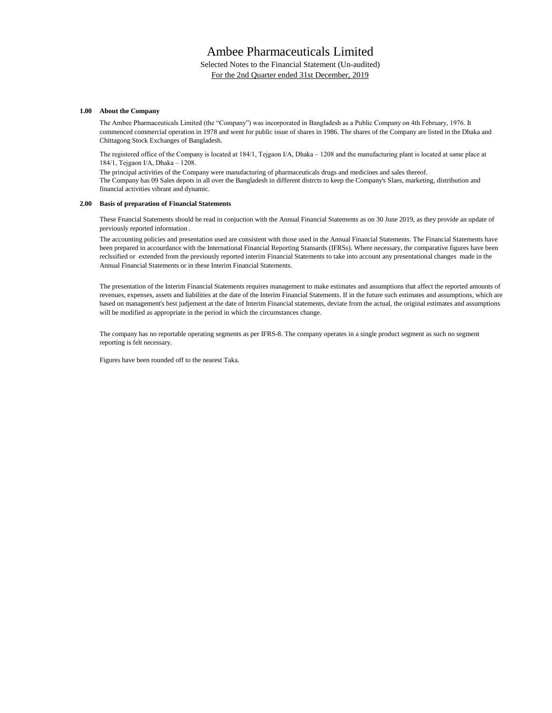Selected Notes to the Financial Statement (Un-audited) For the 2nd Quarter ended 31st December, 2019

#### **1.00 About the Company**

The Ambee Pharmaceuticals Limited (the "Company") was incorporated in Bangladesh as a Public Company on 4th February, 1976. It commenced commercial operation in 1978 and went for public issue of shares in 1986. The shares of the Company are listed in the Dhaka and Chittagong Stock Exchanges of Bangladesh.

The registered office of the Company is located at 184/1, Tejgaon I/A, Dhaka – 1208 and the manufacturing plant is located at same place at 184/1, Tejgaon I/A, Dhaka – 1208.

The Company has 09 Sales depots in all over the Bangladesh in different distrcts to keep the Company's Slaes, marketing, distribution and financial activities vibrant and dynamic. The principal activities of the Company were manufacturing of pharmaceuticals drugs and medicines and sales thereof.

#### **2.00 Basis of preparation of Financial Statements**

These Fnancial Statements should be read in conjuction with the Annual Financial Statements as on 30 June 2019, as they provide an update of previously reported information .

The accounting policies and presentation used are consistent with those used in the Annual Financial Statements. The Financial Statements have been prepared in accourdance with the International Financial Reporting Stansards (IFRSs). Where necessary, the comparative figures have been reclssified or extended from the previously reported interim Financial Statements to take into account any presentational changes made in the Annual Financial Statements or in these Interim Financial Statements.

The presentation of the Interim Financial Statements requires management to make estimates and assumptions that affect the reported amounts of revenues, expenses, assets and liabilities at the date of the Interim Financial Statements. If in the future such estimates and assumptions, which are based on management's best judjement at the date of Interim Financial statements, deviate from the actual, the original estimates and assumptions will be modified as appropriate in the period in which the circumstances change.

The company has no reportable operating segments as per IFRS-8. The company operates in a single product segment as such no segment reporting is felt necessary.

Figures have been rounded off to the nearest Taka.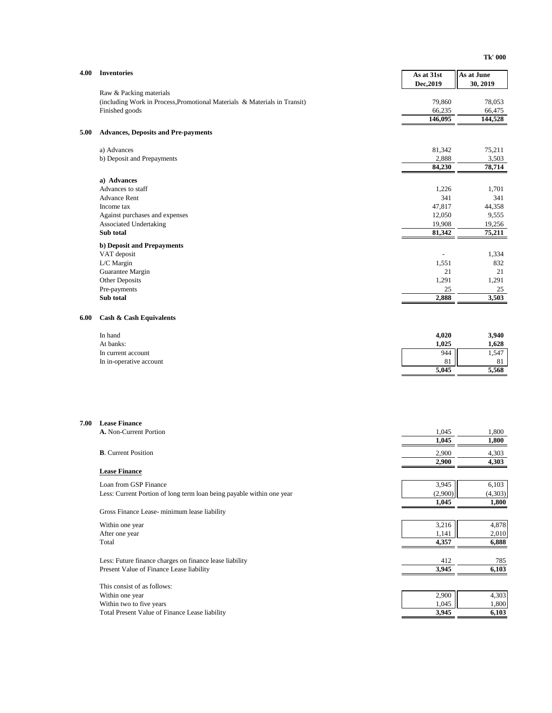| 4.00 | <b>Inventories</b>                                                         | As at 31st        | As at June        |
|------|----------------------------------------------------------------------------|-------------------|-------------------|
|      |                                                                            | Dec, 2019         | 30, 2019          |
|      | Raw & Packing materials                                                    |                   |                   |
|      | (including Work in Process, Promotional Materials & Materials in Transit)  | 79,860            | 78,053            |
|      | Finished goods                                                             | 66,235<br>146,095 | 66,475<br>144,528 |
|      |                                                                            |                   |                   |
| 5.00 | <b>Advances, Deposits and Pre-payments</b>                                 |                   |                   |
|      | a) Advances                                                                | 81,342            | 75,211            |
|      | b) Deposit and Prepayments                                                 | 2,888             | 3,503             |
|      |                                                                            | 84,230            | 78,714            |
|      | a) Advances                                                                |                   |                   |
|      | Advances to staff                                                          | 1,226             | 1,701             |
|      | <b>Advance Rent</b>                                                        | 341               | 341               |
|      | Income tax                                                                 | 47,817            | 44,358            |
|      | Against purchases and expenses<br>Associated Undertaking                   | 12,050<br>19,908  | 9,555             |
|      | Sub total                                                                  | 81,342            | 19,256<br>75,211  |
|      | b) Deposit and Prepayments                                                 |                   |                   |
|      | VAT deposit                                                                |                   | 1,334             |
|      | L/C Margin                                                                 | 1,551             | 832               |
|      | Guarantee Margin                                                           | 21                | 21                |
|      | Other Deposits                                                             | 1,291             | 1,291             |
|      | Pre-payments                                                               | 25                | 25                |
|      | Sub total                                                                  | 2.888             | 3,503             |
| 6.00 | <b>Cash &amp; Cash Equivalents</b>                                         |                   |                   |
|      | In hand                                                                    | 4,020             | 3,940             |
|      | At banks:                                                                  | 1,025             | 1,628             |
|      | In current account                                                         | 944               | 1,547             |
|      | In in-operative account                                                    | 81                | 81                |
|      |                                                                            | 5,045             | 5,568             |
|      |                                                                            |                   |                   |
| 7.00 | <b>Lease Finance</b>                                                       |                   |                   |
|      | A. Non-Current Portion                                                     | 1,045<br>1,045    | 1,800<br>1,800    |
|      |                                                                            |                   |                   |
|      | <b>B.</b> Current Position                                                 | 2,900             | 4,303             |
|      | <b>Lease Finance</b>                                                       | 2,900             | 4,303             |
|      |                                                                            |                   |                   |
|      | Loan from GSP Finance                                                      | 3,945             | 6,103             |
|      | Less: Current Portion of long term loan being payable within one year      | (2,900)<br>1,045  | (4,303)<br>1,800  |
|      | Gross Finance Lease-minimum lease liability                                |                   |                   |
|      | Within one year                                                            | 3,216             | 4,878             |
|      | After one year                                                             | 1,141             | 2,010             |
|      | Total                                                                      | 4,357             | 6,888             |
|      | Less: Future finance charges on finance lease liability                    |                   |                   |
|      | Present Value of Finance Lease liability                                   | 412<br>3,945      | 785<br>6,103      |
|      |                                                                            |                   |                   |
|      | This consist of as follows:                                                |                   |                   |
|      | Within one year                                                            | 2,900             | 4,303             |
|      | Within two to five years<br>Total Present Value of Finance Lease liability | 1,045<br>3,945    | 1,800<br>6,103    |
|      |                                                                            |                   |                   |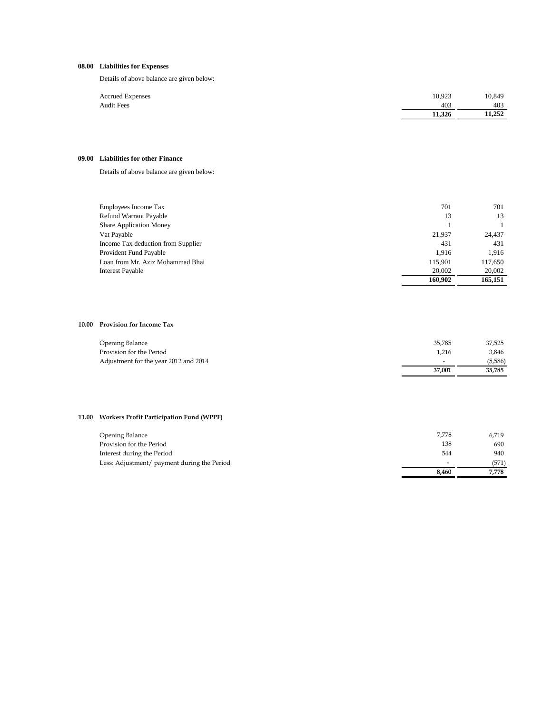### **08.00 Liabilities for Expenses**

Details of above balance are given below:

| <b>Accrued Expenses</b> | 10,923 | 10,849 |
|-------------------------|--------|--------|
| <b>Audit Fees</b>       | 403    | 403    |
|                         | 11.326 | 11.252 |

#### **09.00 Liabilities for other Finance**

Details of above balance are given below:

| Employees Income Tax               | 701     | 701     |
|------------------------------------|---------|---------|
| <b>Refund Warrant Payable</b>      | 13      | 13      |
| <b>Share Application Money</b>     |         |         |
| Vat Payable                        | 21,937  | 24,437  |
| Income Tax deduction from Supplier | 431     | 431     |
| Provident Fund Payable             | 1.916   | 1.916   |
| Loan from Mr. Aziz Mohammad Bhai   | 115.901 | 117,650 |
| <b>Interest Payable</b>            | 20,002  | 20,002  |
|                                    | 160.902 | 165.151 |

### **10.00 Provision for Income Tax**

| Opening Balance                       | 35.785 | 37,525  |
|---------------------------------------|--------|---------|
| Provision for the Period              | 1.216  | 3.846   |
| Adjustment for the year 2012 and 2014 |        | (5,586) |
|                                       | 37.001 | 35.785  |

### **11.00 Workers Profit Participation Fund (WPPF)**

| Opening Balance                             | 7,778                    | 6,719 |
|---------------------------------------------|--------------------------|-------|
| Provision for the Period                    | 138                      | 690   |
| Interest during the Period                  | 544                      | 940   |
| Less: Adjustment/ payment during the Period | $\overline{\phantom{0}}$ | (571) |
|                                             | 8,460                    | 7.778 |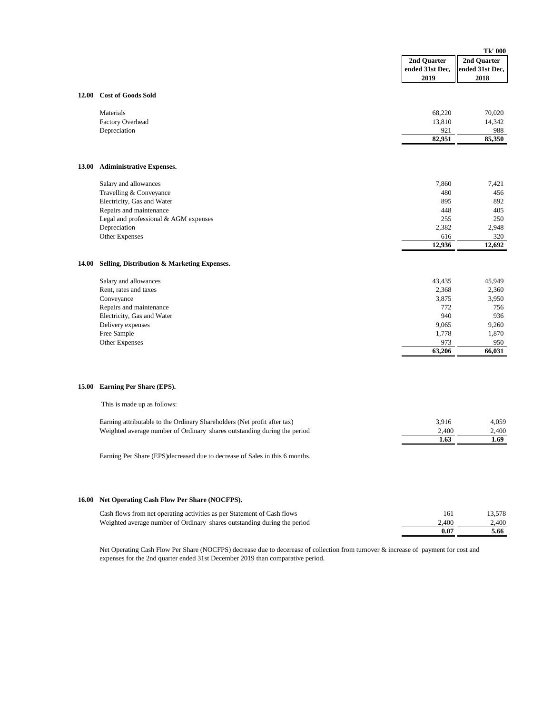|              |                                                                                                                                                                                      | Tk' 000                                                                   |                                                                           |
|--------------|--------------------------------------------------------------------------------------------------------------------------------------------------------------------------------------|---------------------------------------------------------------------------|---------------------------------------------------------------------------|
|              |                                                                                                                                                                                      | 2nd Ouarter<br>ended 31st Dec.<br>2019                                    | 2nd Quarter<br>ended 31st Dec,<br>2018                                    |
| 12.00        | <b>Cost of Goods Sold</b>                                                                                                                                                            |                                                                           |                                                                           |
|              | Materials<br>Factory Overhead<br>Depreciation                                                                                                                                        | 68,220<br>13,810<br>921                                                   | 70,020<br>14,342<br>988                                                   |
|              |                                                                                                                                                                                      | 82,951                                                                    | 85,350                                                                    |
| 13.00        | <b>Adiministrative Expenses.</b>                                                                                                                                                     |                                                                           |                                                                           |
|              | Salary and allowances<br>Travelling & Conveyance<br>Electricity, Gas and Water<br>Repairs and maintenance<br>Legal and professional & AGM expenses<br>Depreciation<br>Other Expenses | 7,860<br>480<br>895<br>448<br>255<br>2,382<br>616                         | 7,421<br>456<br>892<br>405<br>250<br>2,948<br>320                         |
|              |                                                                                                                                                                                      | 12,936                                                                    | 12,692                                                                    |
| 14.00        | Selling, Distribution & Marketing Expenses.                                                                                                                                          |                                                                           |                                                                           |
|              | Salary and allowances<br>Rent, rates and taxes<br>Conveyance<br>Repairs and maintenance<br>Electricity, Gas and Water<br>Delivery expenses<br>Free Sample<br>Other Expenses          | 43,435<br>2,368<br>3,875<br>772<br>940<br>9,065<br>1,778<br>973<br>63,206 | 45,949<br>2,360<br>3,950<br>756<br>936<br>9,260<br>1,870<br>950<br>66,031 |
| 15.00        | Earning Per Share (EPS).                                                                                                                                                             |                                                                           |                                                                           |
|              | This is made up as follows:                                                                                                                                                          |                                                                           |                                                                           |
|              | Earning attributable to the Ordinary Shareholders (Net profit after tax)<br>Weighted average number of Ordinary shares outstanding during the period                                 | 3,916<br>2,400<br>1.63                                                    | 4,059<br>2,400<br>1.69                                                    |
|              | Earning Per Share (EPS) decreased due to decrease of Sales in this 6 months.                                                                                                         |                                                                           |                                                                           |
| <b>16.00</b> | Net Operating Cash Flow Per Share (NOCFPS).                                                                                                                                          |                                                                           |                                                                           |
|              | Cash flows from net operating activities as per Statement of Cash flows<br>Weighted average number of Ordinary shares outstanding during the period                                  | 161<br>2,400<br>0.07                                                      | 13,578<br>2,400<br>5.66                                                   |
|              |                                                                                                                                                                                      |                                                                           |                                                                           |

Net Operating Cash Flow Per Share (NOCFPS) decrease due to decerease of collection from turnover & increase of payment for cost and expenses for the 2nd quarter ended 31st December 2019 than comparative period.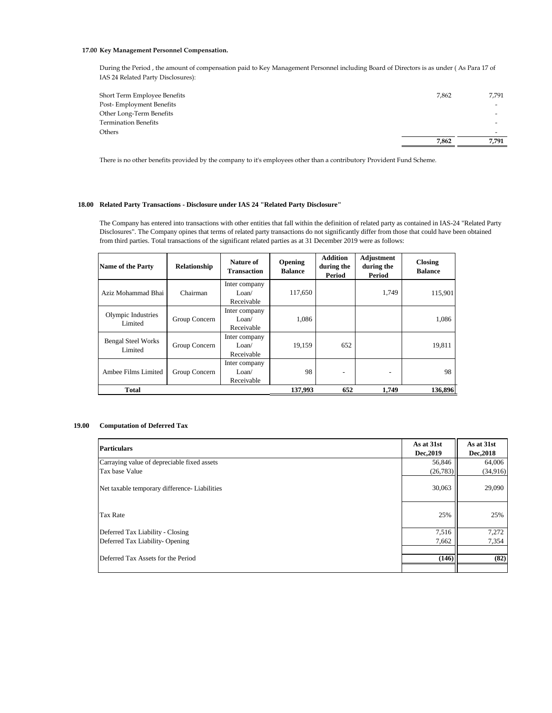#### **17.00 Key Management Personnel Compensation.**

During the Period , the amount of compensation paid to Key Management Personnel including Board of Directors is as under ( As Para 17 of IAS 24 Related Party Disclosures):

| Short Term Employee Benefits | 7.862 | 7,791                    |
|------------------------------|-------|--------------------------|
| Post-Employment Benefits     |       | $\overline{\phantom{a}}$ |
| Other Long-Term Benefits     |       |                          |
| <b>Termination Benefits</b>  |       |                          |
| Others                       |       |                          |
|                              | 7.862 | 7.791                    |
|                              |       |                          |

There is no other benefits provided by the company to it's employees other than a contributory Provident Fund Scheme.

#### **18.00 Related Party Transactions - Disclosure under IAS 24 "Related Party Disclosure"**

The Company has entered into transactions with other entities that fall within the definition of related party as contained in IAS-24 "Related Party Disclosures". The Company opines that terms of related party transactions do not significantly differ from those that could have been obtained from third parties. Total transactions of the significant related parties as at 31 December 2019 were as follows:

| <b>Name of the Party</b>             | Relationship  | Nature of<br>Transaction                        | Opening<br><b>Balance</b> | <b>Addition</b><br>during the<br>Period | Adjustment<br>during the<br>Period | <b>Closing</b><br><b>Balance</b> |
|--------------------------------------|---------------|-------------------------------------------------|---------------------------|-----------------------------------------|------------------------------------|----------------------------------|
| Aziz Mohammad Bhai                   | Chairman      | Inter company<br>Loan/<br>Receivable            | 117,650                   |                                         | 1,749                              | 115,901                          |
| Olympic Industries<br>Limited        | Group Concern | Inter company<br>L <sub>oan</sub><br>Receivable | 1,086                     |                                         |                                    | 1,086                            |
| <b>Bengal Steel Works</b><br>Limited | Group Concern | Inter company<br>L <sub>oan</sub><br>Receivable | 19,159                    | 652                                     |                                    | 19,811                           |
| Ambee Films Limited                  | Group Concern | Inter company<br>Loan/<br>Receivable            | 98                        |                                         | $\overline{\phantom{a}}$           | 98                               |
| <b>Total</b>                         |               |                                                 | 137,993                   | 652                                     | 1.749                              | 136,896                          |

#### **19.00 Computation of Deferred Tax**

| <b>Particulars</b>                           | As at 31st<br>Dec, 2019 | As at 31st<br>Dec, 2018 |
|----------------------------------------------|-------------------------|-------------------------|
| Carraying value of depreciable fixed assets  | 56,846                  | 64,006                  |
| Tax base Value                               | (26, 783)               | (34,916)                |
| Net taxable temporary difference-Liabilities | 30,063                  | 29,090                  |
| Tax Rate                                     | 25%                     | 25%                     |
| Deferred Tax Liability - Closing             | 7,516                   | 7,272                   |
| Deferred Tax Liability-Opening               | 7,662                   | 7,354                   |
| Deferred Tax Assets for the Period           | (146)                   | (82)                    |